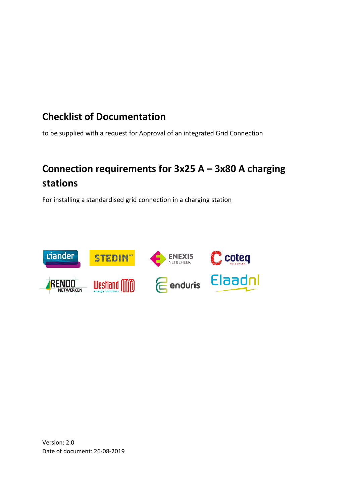## **Checklist of Documentation**

to be supplied with a request for Approval of an integrated Grid Connection

# **Connection requirements for 3x25 A – 3x80 A charging stations**

For installing a standardised grid connection in a charging station



Version: 2.0 Date of document: 26-08-2019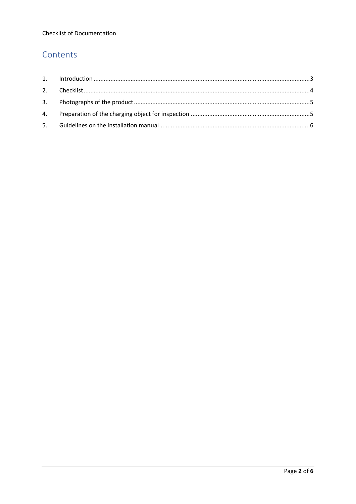#### Contents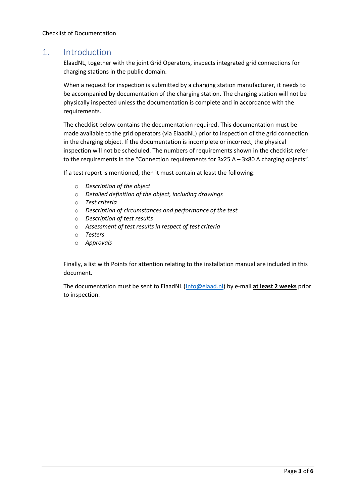#### <span id="page-2-0"></span>1. Introduction

ElaadNL, together with the joint Grid Operators, inspects integrated grid connections for charging stations in the public domain.

When a request for inspection is submitted by a charging station manufacturer, it needs to be accompanied by documentation of the charging station. The charging station will not be physically inspected unless the documentation is complete and in accordance with the requirements.

The checklist below contains the documentation required. This documentation must be made available to the grid operators (via ElaadNL) prior to inspection of the grid connection in the charging object. If the documentation is incomplete or incorrect, the physical inspection will not be scheduled. The numbers of requirements shown in the checklist refer to the requirements in the "Connection requirements for 3x25 A – 3x80 A charging objects".

If a test report is mentioned, then it must contain at least the following:

- o *Description of the object*
- o *Detailed definition of the object, including drawings*
- o *Test criteria*
- o *Description of circumstances and performance of the test*
- o *Description of test results*
- o *Assessment of test results in respect of test criteria*
- o *Testers*
- o *Approvals*

Finally, a list with Points for attention relating to the installation manual are included in this document.

The documentation must be sent to ElaadNL [\(info@elaad.nl\)](mailto:info@elaad.nl) by e-mail **at least 2 weeks** prior to inspection.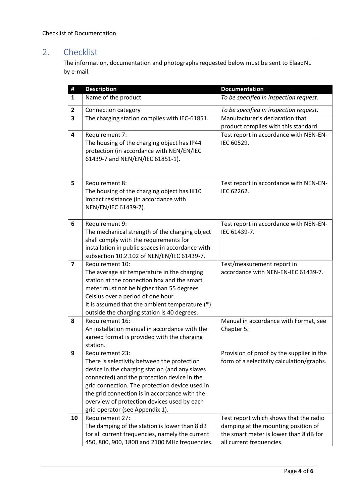### <span id="page-3-0"></span>2. Checklist

The information, documentation and photographs requested below must be sent to ElaadNL by e-mail.

| #                       | <b>Description</b>                                                                                                                                                                                                                                                                                                                                   | <b>Documentation</b>                                                                                                                                |
|-------------------------|------------------------------------------------------------------------------------------------------------------------------------------------------------------------------------------------------------------------------------------------------------------------------------------------------------------------------------------------------|-----------------------------------------------------------------------------------------------------------------------------------------------------|
| $\mathbf{1}$            | Name of the product                                                                                                                                                                                                                                                                                                                                  | To be specified in inspection request.                                                                                                              |
| $\overline{2}$          | Connection category                                                                                                                                                                                                                                                                                                                                  | To be specified in inspection request.                                                                                                              |
| 3                       | The charging station complies with IEC-61851.                                                                                                                                                                                                                                                                                                        | Manufacturer's declaration that<br>product complies with this standard.                                                                             |
| $\overline{\mathbf{4}}$ | Requirement 7:<br>The housing of the charging object has IP44<br>protection (in accordance with NEN/EN/IEC<br>61439-7 and NEN/EN/IEC 61851-1).                                                                                                                                                                                                       | Test report in accordance with NEN-EN-<br>IEC 60529.                                                                                                |
| 5                       | Requirement 8:<br>The housing of the charging object has IK10<br>impact resistance (in accordance with<br>NEN/EN/IEC 61439-7).                                                                                                                                                                                                                       | Test report in accordance with NEN-EN-<br>IEC 62262.                                                                                                |
| 6                       | Requirement 9:<br>The mechanical strength of the charging object<br>shall comply with the requirements for<br>installation in public spaces in accordance with<br>subsection 10.2.102 of NEN/EN/IEC 61439-7.                                                                                                                                         | Test report in accordance with NEN-EN-<br>IEC 61439-7.                                                                                              |
| $\overline{\mathbf{z}}$ | Requirement 10:<br>The average air temperature in the charging<br>station at the connection box and the smart<br>meter must not be higher than 55 degrees<br>Celsius over a period of one hour.<br>It is assumed that the ambient temperature (*)<br>outside the charging station is 40 degrees.                                                     | Test/measurement report in<br>accordance with NEN-EN-IEC 61439-7.                                                                                   |
| 8                       | Requirement 16:<br>An installation manual in accordance with the<br>agreed format is provided with the charging<br>station.                                                                                                                                                                                                                          | Manual in accordance with Format, see<br>Chapter 5.                                                                                                 |
| 9                       | Requirement 23:<br>There is selectivity between the protection<br>device in the charging station (and any slaves<br>connected) and the protection device in the<br>grid connection. The protection device used in<br>the grid connection is in accordance with the<br>overview of protection devices used by each<br>grid operator (see Appendix 1). | Provision of proof by the supplier in the<br>form of a selectivity calculation/graphs.                                                              |
| 10                      | Requirement 27:<br>The damping of the station is lower than 8 dB<br>for all current frequencies, namely the current<br>450, 800, 900, 1800 and 2100 MHz frequencies.                                                                                                                                                                                 | Test report which shows that the radio<br>damping at the mounting position of<br>the smart meter is lower than 8 dB for<br>all current frequencies. |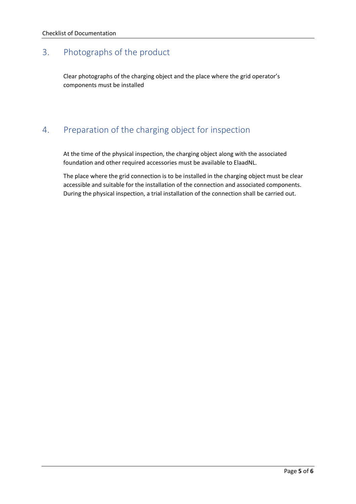#### <span id="page-4-0"></span>3. Photographs of the product

Clear photographs of the charging object and the place where the grid operator's components must be installed

#### <span id="page-4-1"></span>4. Preparation of the charging object for inspection

At the time of the physical inspection, the charging object along with the associated foundation and other required accessories must be available to ElaadNL.

The place where the grid connection is to be installed in the charging object must be clear accessible and suitable for the installation of the connection and associated components. During the physical inspection, a trial installation of the connection shall be carried out.